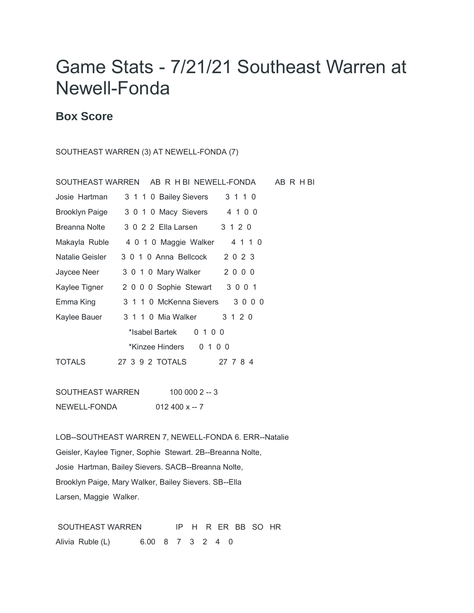## Game Stats - 7/21/21 Southeast Warren at Newell-Fonda

## **Box Score**

## SOUTHEAST WARREN (3) AT NEWELL-FONDA (7)

SOUTHEAST WARREN 100 000 2 -- 3 NEWELL-FONDA 012 400 x -- 7

LOB--SOUTHEAST WARREN 7, NEWELL-FONDA 6. ERR--Natalie Geisler, Kaylee Tigner, Sophie Stewart. 2B--Breanna Nolte, Josie Hartman, Bailey Sievers. SACB--Breanna Nolte, Brooklyn Paige, Mary Walker, Bailey Sievers. SB--Ella Larsen, Maggie Walker.

SOUTHEAST WARREN IP H R ER BB SO HR Alivia Ruble (L) 6.00 8 7 3 2 4 0